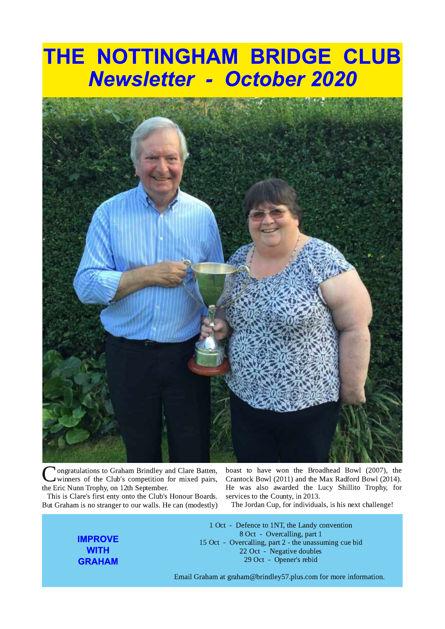# THE NOTTINGHAM BRIDGE CLUB **Newsletter - October 2020**



ongratulations to Graham Brindley and Clare Batten, winners of the Club's competition for mixed pairs, the Eric Nunn Trophy, on 12th September.

This is Clare's first enty onto the Club's Honour Boards. But Graham is no stranger to our walls. He can (modestly)

> **IMPROVE WITH GRAHAM**

boast to have won the Broadhead Bowl (2007), the Crantock Bowl (2011) and the Max Radford Bowl (2014). He was also awarded the Lucy Shillito Trophy, for services to the County, in 2013.

The Jordan Cup, for individuals, is his next challenge!

1 Oct - Defence to 1NT, the Landy convention 8 Oct - Overcalling, part 1 15 Oct - Overcalling, part 2 - the unassuming cue bid 22 Oct - Negative doubles 29 Oct - Opener's rebid

Email Graham at graham@brindley57.plus.com for more information.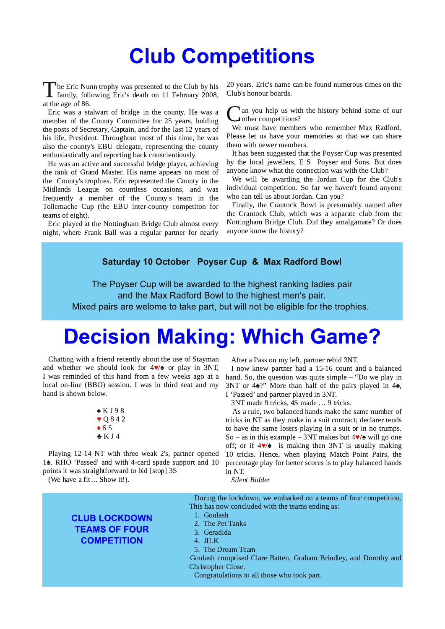## **Club Competitions**

The Eric Nunn trophy was presented to the Club by his 1 family, following Eric's death on 11 February 2008, at the age of 86.

Eric was a stalwart of bridge in the county. He was a member of the County Committee for 25 years, holding the posts of Secretary, Captain, and for the last 12 years of his life, President. Throughout most of this time, he was also the county's EBU delegate, representing the county enthusiastically and reporting back conscientiously.

He was an active and successful bridge player, achieving the rank of Grand Master. His name appears on most of the County's trophies. Eric represented the County in the Midlands League on countless occasions, and was frequently a member of the County's team in the Tollemache Cup (the EBU inter-county competiton for teams of eight).

Eric played at the Nottingham Bridge Club almost every night, where Frank Ball was a regular partner for nearly 20 years. Eric's name can be found numerous times on the Club's honour boards.

an you help us with the history behind some of our other competitions?

We must have members who remember Max Radford. Please let us have your memories so that we can share them with newer members.

It has been suggested that the Poyser Cup was presented by the local jewellers, E S Poyser and Sons. But does anyone know what the connection was with the Club?

We will be awarding the Jordan Cup for the Club's individual competition. So far we haven't found anyone who can tell us about Jordan. Can you?

Finally, the Crantock Bowl is presumably named after the Crantock Club, which was a separate club from the Nottingham Bridge Club. Did they amalgamate? Or does anyone know the history?

#### Saturday 10 October Poyser Cup & Max Radford Bowl

The Poyser Cup will be awarded to the highest ranking ladies pair and the Max Radford Bowl to the highest men's pair. Mixed pairs are welome to take part, but will not be eligible for the trophies.

## **Decision Making: Which Game?**

Chatting with a friend recently about the use of Stayman and whether we should look for  $4\blacktriangledown/\blacktriangle$  or play in 3NT, I was reminded of this hand from a few weeks ago at a local on-line (BBO) session. I was in third seat and my hand is shown below.

> $\triangle K$  J 98  $\bullet$  Q842  $\triangle$  65  $\triangle KJ4$

Playing 12-14 NT with three weak 2's, partner opened 14. RHO 'Passed' and with 4-card spade support and 10 points it was straightforward to bid [stop] 3S

(We have a fit ... Show it!).

After a Pass on my left, partner rebid 3NT.

I now knew partner had a 15-16 count and a balanced hand. So, the question was quite simple  $-$  "Do we play in 3NT or 4 $\triangle$ ?" More than half of the pairs played in 4 $\triangle$ , I 'Passed' and partner played in 3NT.

3NT made 9 tricks, 4S made ... 9 tricks.

As a rule, two balanced hands make the same number of tricks in NT as they make in a suit contract; declarer tends to have the same losers playing in a suit or in no trumps. So – as in this example – 3NT makes but  $4\blacktriangledown/\blacktriangle$  will go one off; or if  $4\sqrt{2}$  is making then 3NT is usually making 10 tricks. Hence, when playing Match Point Pairs, the percentage play for better scores is to play balanced hands in NT.

Silent Bidder

During the lockdown, we embarked on a teams of four competition. This has now concluded with the teams ending as:

- 1. Goulash
- 2. The Pet Tanks
- 3. Geradida
- 4. JILK
- 5. The Dream Team

Goulash comprised Clare Batten, Graham Brindley, and Dorothy and Christopher Close.

Congratulations to all those who took part.

### **CLUB LOCKDOWN TEAMS OF FOUR COMPETITION**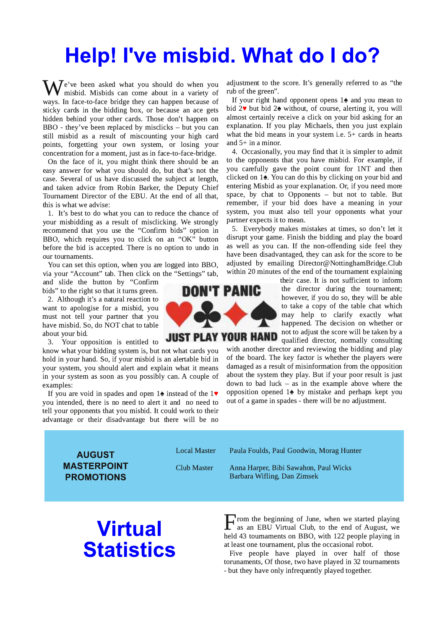# Help! I've misbid. What do I do?

 $\overline{J}$ e've been asked what you should do when you misbid. Misbids can come about in a variety of ways. In face-to-face bridge they can happen because of sticky cards in the bidding box, or because an ace gets hidden behind your other cards. Those don't happen on BBO - they've been replaced by misclicks – but you can still misbid as a result of miscounting your high card points, forgetting your own system, or losing your concentration for a moment, just as in face-to-face-bridge.

On the face of it, you might think there should be an easy answer for what you should do, but that's not the case. Several of us have discussed the subject at length, and taken advice from Robin Barker, the Deputy Chief Tournament Director of the EBU. At the end of all that, this is what we advise:

1. It's best to do what you can to reduce the chance of your misbidding as a result of misclicking. We strongly recommend that you use the "Confirm bids" option in BBO, which requires you to click on an "OK" button before the bid is accepted. There is no option to undo in our tournaments.

You can set this option, when you are logged into BBO, via your "Account" tab. Then click on the "Settings" tab,

and slide the button by "Confirm bids" to the right so that it turns green.

2. Although it's a natural reaction to want to apologise for a misbid, you must not tell your partner that you have misbid. So, do NOT chat to table about your bid.

Your opposition is entitled to  $\mathbf{R}$ 

know what your bidding system is, but not what cards you hold in your hand. So, if your misbid is an alertable bid in your system, you should alert and explain what it means in your system as soon as you possibly can. A couple of examples:

If you are void in spades and open 1<sup> $\bullet$ </sup> instead of the 1 $\bullet$ you intended, there is no need to alert it and no need to tell your opponents that you misbid. It could work to their advantage or their disadvantage but there will be no

**DON'T PANIC** 

adjustment to the score. It's generally referred to as "the rub of the green".

If your right hand opponent opens  $1\spadesuit$  and you mean to bid  $2\blacktriangleright$  but bid  $2\blacktriangle$  without, of course, alerting it, you will almost certainly receive a click on your bid asking for an explanation. If you play Michaels, then you just explain what the bid means in your system i.e.  $5+$  cards in hearts and  $5+$  in a minor.

4. Occasionally, you may find that it is simpler to admit to the opponents that you have misbid. For example, if you carefully gave the point count for 1NT and then clicked on 14. You can do this by clicking on your bid and entering Misbid as your explanation. Or, if you need more space, by chat to Opponents  $-$  but not to table. But remember, if your bid does have a meaning in your system, you must also tell your opponents what your partner expects it to mean.

5. Everybody makes mistakes at times, so don't let it disrupt your game. Finish the bidding and play the board as well as you can. If the non-offending side feel they have been disadvantaged, they can ask for the score to be adjusted by emailing Director@NottinghamBridge.Club within 20 minutes of the end of the tournament explaining

> their case. It is not sufficient to inform the director during the tournament; however, if you do so, they will be able to take a copy of the table chat which may help to clarify exactly what happened. The decision on whether or not to adjust the score will be taken by a qualified director, normally consulting

with another director and reviewing the bidding and play of the board. The key factor is whether the players were damaged as a result of misinformation from the opposition about the system they play. But if your poor result is just down to bad luck  $-$  as in the example above where the opposition opened  $1\spadesuit$  by mistake and perhaps kept you out of a game in spades - there will be no adjustment.

**AUGUST MASTERPOINT PROMOTIONS** 

**Local Master Club Master** 

Paula Foulds, Paul Goodwin, Morag Hunter

Anna Harper, Bibi Sawahon, Paul Wicks Barbara Wifling, Dan Zimsek

### **Virtual Statistics**

rom the beginning of June, when we started playing as an EBU Virtual Club, to the end of August, we held 43 tournaments on BBO, with 122 people playing in at least one tournament, plus the occasional robot.

Five people have played in over half of those torunaments. Of those, two have played in 32 tournaments - but they have only infrequently played together.